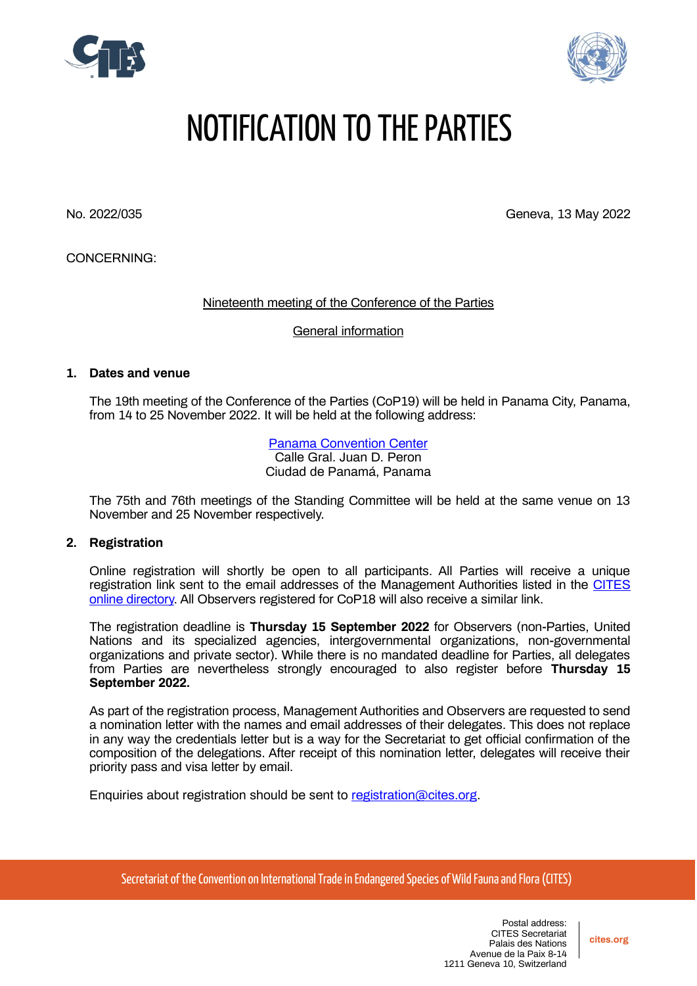



# NOTIFICATION TO THE PARTIES

No. 2022/035 Geneva, 13 May 2022

CONCERNING:

Nineteenth meeting of the Conference of the Parties

General information

# **1. Dates and venue**

The 19th meeting of the Conference of the Parties (CoP19) will be held in Panama City, Panama, from 14 to 25 November 2022. It will be held at the following address:

> [Panama Convention](https://panamaconventions.com/) Center Calle Gral. Juan D. Peron Ciudad de Panamá, Panama

The 75th and 76th meetings of the Standing Committee will be held at the same venue on 13 November and 25 November respectively.

#### **2. Registration**

Online registration will shortly be open to all participants. All Parties will receive a unique registration link sent to the email addresses of the Management Authorities listed in the [CITES](https://cites.org/eng/cms/index.php/component/cp)  [online directory.](https://cites.org/eng/cms/index.php/component/cp) All Observers registered for CoP18 will also receive a similar link.

The registration deadline is **Thursday 15 September 2022** for Observers (non-Parties, United Nations and its specialized agencies, intergovernmental organizations, non-governmental organizations and private sector). While there is no mandated deadline for Parties, all delegates from Parties are nevertheless strongly encouraged to also register before **Thursday 15 September 2022.**

As part of the registration process, Management Authorities and Observers are requested to send a nomination letter with the names and email addresses of their delegates. This does not replace in any way the credentials letter but is a way for the Secretariat to get official confirmation of the composition of the delegations. After receipt of this nomination letter, delegates will receive their priority pass and visa letter by email.

Enquiries about registration should be sent to [registration@cites.org.](mailto:registration@cites.org)

Secretariat of the Convention on International Trade in Endangered Species of Wild Fauna and Flora (CITES)

**cites.org**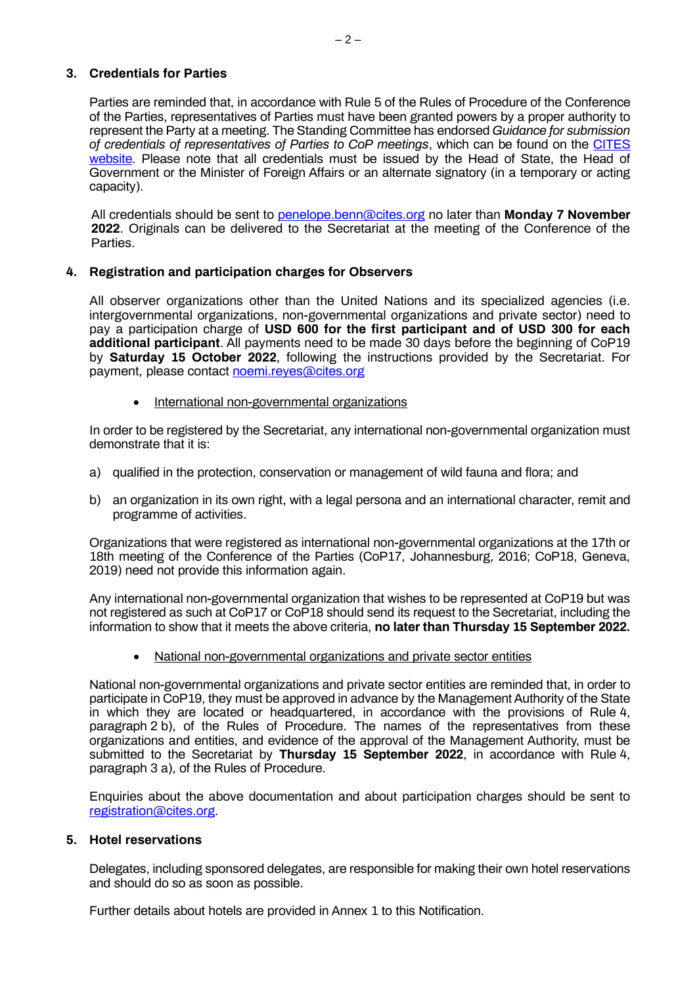# **3. Credentials for Parties**

Parties are reminded that, in accordance with Rule 5 of the Rules of Procedure of the Conference of the Parties, representatives of Parties must have been granted powers by a proper authority to represent the Party at a meeting. The Standing Committee has endorsed *Guidance for submission of credentials of representatives of Parties to CoP meetings*, which can be found on the [CITES](https://cites.org/sites/default/files/eng/cop/E-Guidance_for_submission_of_credentials.pdf)  [website.](https://cites.org/sites/default/files/eng/cop/E-Guidance_for_submission_of_credentials.pdf) Please note that all credentials must be issued by the Head of State, the Head of Government or the Minister of Foreign Affairs or an alternate signatory (in a temporary or acting capacity).

All credentials should be sent to [penelope.benn@cites.org](mailto:penelope.benn@cites.org) no later than **Monday 7 November 2022**. Originals can be delivered to the Secretariat at the meeting of the Conference of the Parties.

# **4. Registration and participation charges for Observers**

All observer organizations other than the United Nations and its specialized agencies (i.e. intergovernmental organizations, non-governmental organizations and private sector) need to pay a participation charge of **USD 600 for the first participant and of USD 300 for each additional participant**. All payments need to be made 30 days before the beginning of CoP19 by **Saturday 15 October 2022**, following the instructions provided by the Secretariat. For payment, please contact [noemi.reyes@cites.org](mailto:noemi.reyes@cites.org)

• International non-governmental organizations

In order to be registered by the Secretariat, any international non-governmental organization must demonstrate that it is:

- a) qualified in the protection, conservation or management of wild fauna and flora; and
- b) an organization in its own right, with a legal persona and an international character, remit and programme of activities.

Organizations that were registered as international non-governmental organizations at the 17th or 18th meeting of the Conference of the Parties (CoP17, Johannesburg, 2016; CoP18, Geneva, 2019) need not provide this information again.

Any international non-governmental organization that wishes to be represented at CoP19 but was not registered as such at CoP17 or CoP18 should send its request to the Secretariat, including the information to show that it meets the above criteria, **no later than Thursday 15 September 2022.**

• National non-governmental organizations and private sector entities

National non-governmental organizations and private sector entities are reminded that, in order to participate in CoP19, they must be approved in advance by the Management Authority of the State in which they are located or headquartered, in accordance with the provisions of Rule 4, paragraph 2 b), of the Rules of Procedure. The names of the representatives from these organizations and entities, and evidence of the approval of the Management Authority, must be submitted to the Secretariat by **Thursday 15 September 2022**, in accordance with Rule 4, paragraph 3 a), of the Rules of Procedure.

Enquiries about the above documentation and about participation charges should be sent to [registration@cites.org.](mailto:registration@cites.org)

# **5. Hotel reservations**

Delegates, including sponsored delegates, are responsible for making their own hotel reservations and should do so as soon as possible.

Further details about hotels are provided in Annex 1 to this Notification.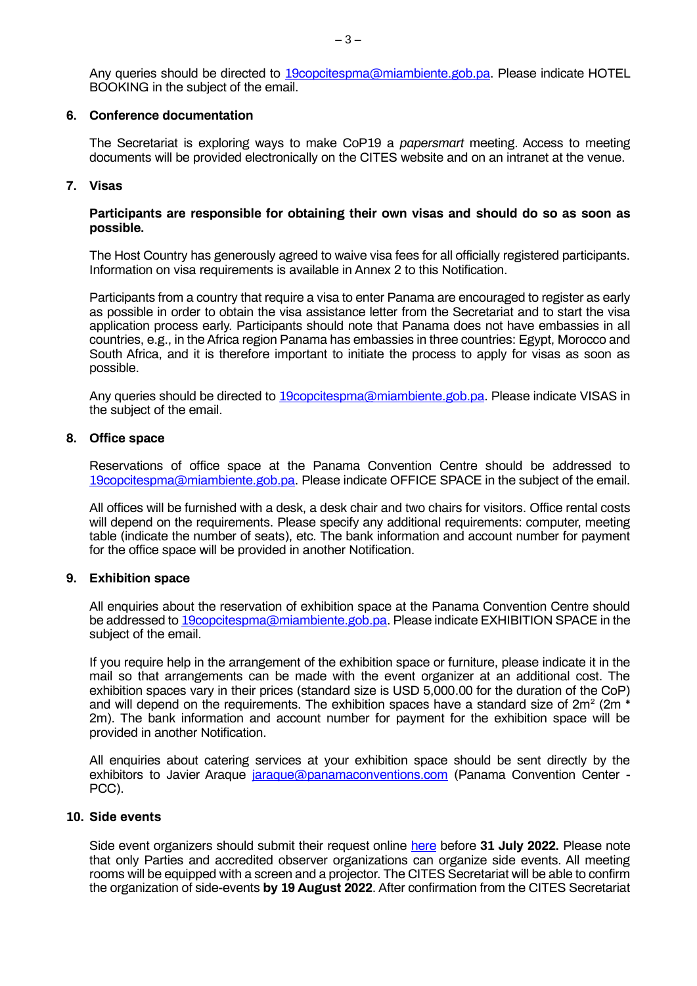Any queries should be directed to [19copcitespma@miambiente.gob.pa.](mailto:19copcitespma@miambiente.gob.pa) Please indicate HOTEL BOOKING in the subject of the email.

#### **6. Conference documentation**

The Secretariat is exploring ways to make CoP19 a *papersmart* meeting. Access to meeting documents will be provided electronically on the CITES website and on an intranet at the venue.

## **7. Visas**

#### **Participants are responsible for obtaining their own visas and should do so as soon as possible.**

The Host Country has generously agreed to waive visa fees for all officially registered participants. Information on visa requirements is available in Annex 2 to this Notification.

Participants from a country that require a visa to enter Panama are encouraged to register as early as possible in order to obtain the visa assistance letter from the Secretariat and to start the visa application process early. Participants should note that Panama does not have embassies in all countries, e.g., in the Africa region Panama has embassies in three countries: Egypt, Morocco and South Africa, and it is therefore important to initiate the process to apply for visas as soon as possible.

Any queries should be directed to [19copcitespma@miambiente.gob.pa.](mailto:19copcitespma@miambiente.gob.pa) Please indicate VISAS in the subject of the email.

## **8. Office space**

Reservations of office space at the Panama Convention Centre should be addressed to [19copcitespma@miambiente.gob.pa.](mailto:19copcitespma@miambiente.gob.pa) Please indicate OFFICE SPACE in the subject of the email.

All offices will be furnished with a desk, a desk chair and two chairs for visitors. Office rental costs will depend on the requirements. Please specify any additional requirements: computer, meeting table (indicate the number of seats), etc. The bank information and account number for payment for the office space will be provided in another Notification.

#### **9. Exhibition space**

All enquiries about the reservation of exhibition space at the Panama Convention Centre should be addressed to [19copcitespma@miambiente.gob.pa.](mailto:19copcitespma@miambiente.gob.pa) Please indicate EXHIBITION SPACE in the subject of the email.

If you require help in the arrangement of the exhibition space or furniture, please indicate it in the mail so that arrangements can be made with the event organizer at an additional cost. The exhibition spaces vary in their prices (standard size is USD 5,000.00 for the duration of the CoP) and will depend on the requirements. The exhibition spaces have a standard size of 2m<sup>2</sup> (2m  $^*$ 2m). The bank information and account number for payment for the exhibition space will be provided in another Notification.

All enquiries about catering services at your exhibition space should be sent directly by the exhibitors to Javier Araque [jaraque@panamaconventions.com](mailto:jaraque@panamaconventions.com) (Panama Convention Center - PCC).

# **10. Side events**

Side event organizers should submit their request online [here](https://forms.office.com/r/KH84gnM6PB) before **31 July 2022.** Please note that only Parties and accredited observer organizations can organize side events. All meeting rooms will be equipped with a screen and a projector. The CITES Secretariat will be able to confirm the organization of side-events **by 19 August 2022**. After confirmation from the CITES Secretariat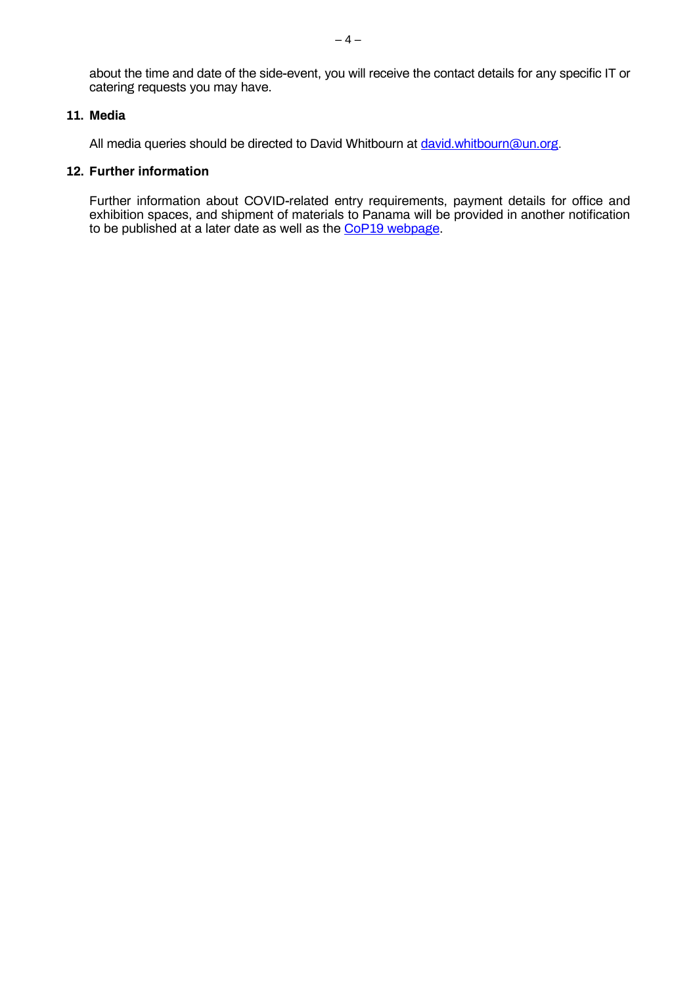about the time and date of the side-event, you will receive the contact details for any specific IT or catering requests you may have.

# **11. Media**

All media queries should be directed to David Whitbourn at [david.whitbourn@un.org.](mailto:david.whitbourn@un.org)

# **12. Further information**

Further information about COVID-related entry requirements, payment details for office and exhibition spaces, and shipment of materials to Panama will be provided in another notification to be published at a later date as well as the <u>CoP19 webpage</u>.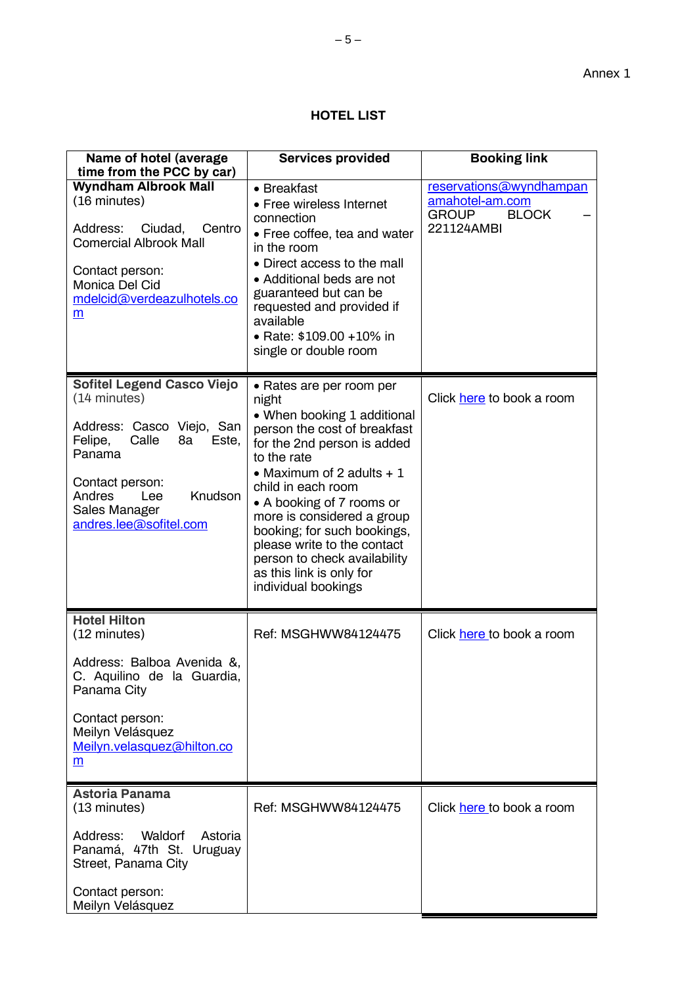# **HOTEL LIST**

| Name of hotel (average<br>time from the PCC by car)                                                                                                                                                                   | <b>Services provided</b>                                                                                                                                                                                                                                                                                                                                                                                       | <b>Booking link</b>                                                                      |
|-----------------------------------------------------------------------------------------------------------------------------------------------------------------------------------------------------------------------|----------------------------------------------------------------------------------------------------------------------------------------------------------------------------------------------------------------------------------------------------------------------------------------------------------------------------------------------------------------------------------------------------------------|------------------------------------------------------------------------------------------|
| <b>Wyndham Albrook Mall</b><br>(16 minutes)<br>Address:<br>Ciudad,<br>Centro<br><b>Comercial Albrook Mall</b><br>Contact person:<br>Monica Del Cid<br>mdelcid@verdeazulhotels.co<br>m                                 | • Breakfast<br>• Free wireless Internet<br>connection<br>• Free coffee, tea and water<br>in the room<br>• Direct access to the mall<br>• Additional beds are not<br>guaranteed but can be<br>requested and provided if<br>available<br>• Rate: \$109.00 +10% in<br>single or double room                                                                                                                       | reservations@wyndhampan<br>amahotel-am.com<br><b>GROUP</b><br><b>BLOCK</b><br>221124AMBI |
| <b>Sofitel Legend Casco Viejo</b><br>(14 minutes)<br>Address: Casco Viejo, San<br>Calle<br>Felipe,<br>8a<br>Este,<br>Panama<br>Contact person:<br>Knudson<br>Andres<br>Lee<br>Sales Manager<br>andres.lee@sofitel.com | • Rates are per room per<br>night<br>• When booking 1 additional<br>person the cost of breakfast<br>for the 2nd person is added<br>to the rate<br>• Maximum of 2 adults $+1$<br>child in each room<br>• A booking of 7 rooms or<br>more is considered a group<br>booking; for such bookings,<br>please write to the contact<br>person to check availability<br>as this link is only for<br>individual bookings | Click here to book a room                                                                |
| <b>Hotel Hilton</b><br>(12 minutes)<br>Address: Balboa Avenida &,<br>C. Aquilino de la Guardia,<br>Panama City<br>Contact person:<br>Meilyn Velásquez<br>Meilyn.velasquez@hilton.co<br>m                              | Ref: MSGHWW84124475                                                                                                                                                                                                                                                                                                                                                                                            | Click here to book a room                                                                |
| <b>Astoria Panama</b><br>(13 minutes)<br>Address:<br>Waldorf<br>Astoria<br>Panamá, 47th St. Uruguay<br>Street, Panama City<br>Contact person:<br>Meilyn Velásquez                                                     | Ref: MSGHWW84124475                                                                                                                                                                                                                                                                                                                                                                                            | Click here to book a room                                                                |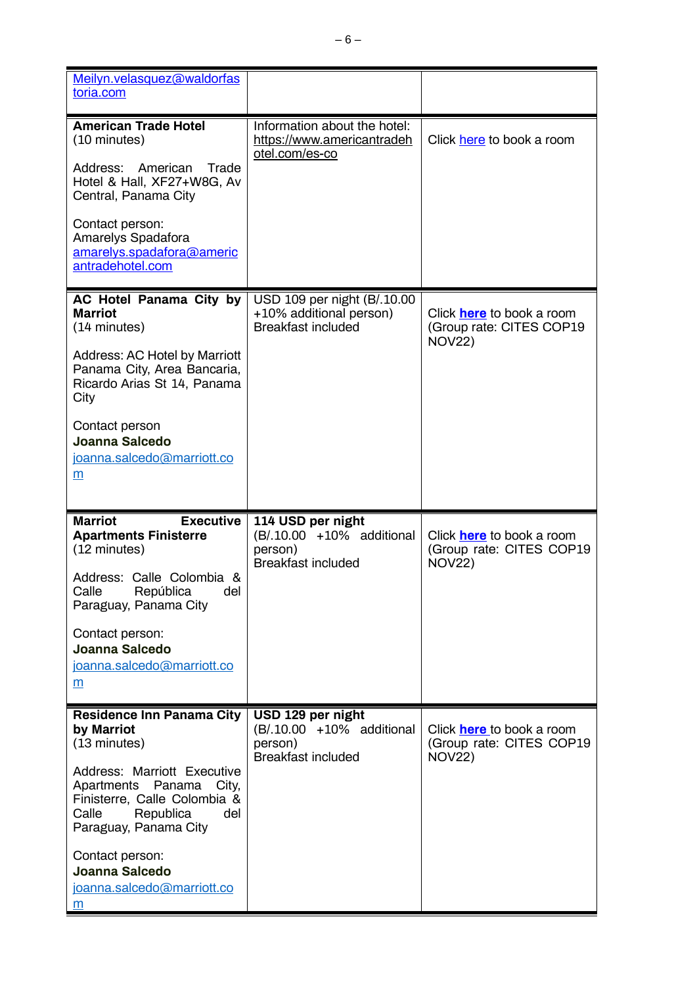| Meilyn.velasquez@waldorfas<br>toria.com                                                                                                                                                                                                                                                   |                                                                                        |                                                                               |
|-------------------------------------------------------------------------------------------------------------------------------------------------------------------------------------------------------------------------------------------------------------------------------------------|----------------------------------------------------------------------------------------|-------------------------------------------------------------------------------|
| <b>American Trade Hotel</b><br>(10 minutes)<br>Address:<br>American<br>Trade<br>Hotel & Hall, XF27+W8G, Av<br>Central, Panama City<br>Contact person:<br>Amarelys Spadafora<br>amarelys.spadafora@americ<br>antradehotel.com                                                              | Information about the hotel:<br>https://www.americantradeh<br>otel.com/es-co           | Click here to book a room                                                     |
| AC Hotel Panama City by<br><b>Marriot</b><br>(14 minutes)<br><b>Address: AC Hotel by Marriott</b><br>Panama City, Area Bancaria,<br>Ricardo Arias St 14, Panama<br>City<br>Contact person<br>Joanna Salcedo<br>joanna.salcedo@marriott.co<br>m                                            | USD 109 per night (B/.10.00<br>+10% additional person)<br><b>Breakfast included</b>    | Click <b>here</b> to book a room<br>(Group rate: CITES COP19<br><b>NOV22)</b> |
| <b>Marriot</b><br><b>Executive</b><br><b>Apartments Finisterre</b><br>(12 minutes)<br>Address: Calle Colombia &<br>Calle República<br>del<br>Paraguay, Panama City<br>Contact person:<br>Joanna Salcedo<br>joanna.salcedo@marriott.co<br>m                                                | 114 USD per night<br>(B/.10.00 +10% additional<br>person)<br><b>Breakfast included</b> | Click <b>here</b> to book a room<br>(Group rate: CITES COP19<br><b>NOV22)</b> |
| <b>Residence Inn Panama City</b><br>by Marriot<br>(13 minutes)<br>Address: Marriott Executive<br>Apartments Panama<br>City,<br>Finisterre, Calle Colombia &<br>Republica<br>Calle<br>del<br>Paraguay, Panama City<br>Contact person:<br>Joanna Salcedo<br>joanna.salcedo@marriott.co<br>m | USD 129 per night<br>(B/.10.00 +10% additional<br>person)<br><b>Breakfast included</b> | Click <b>here</b> to book a room<br>(Group rate: CITES COP19<br><b>NOV22)</b> |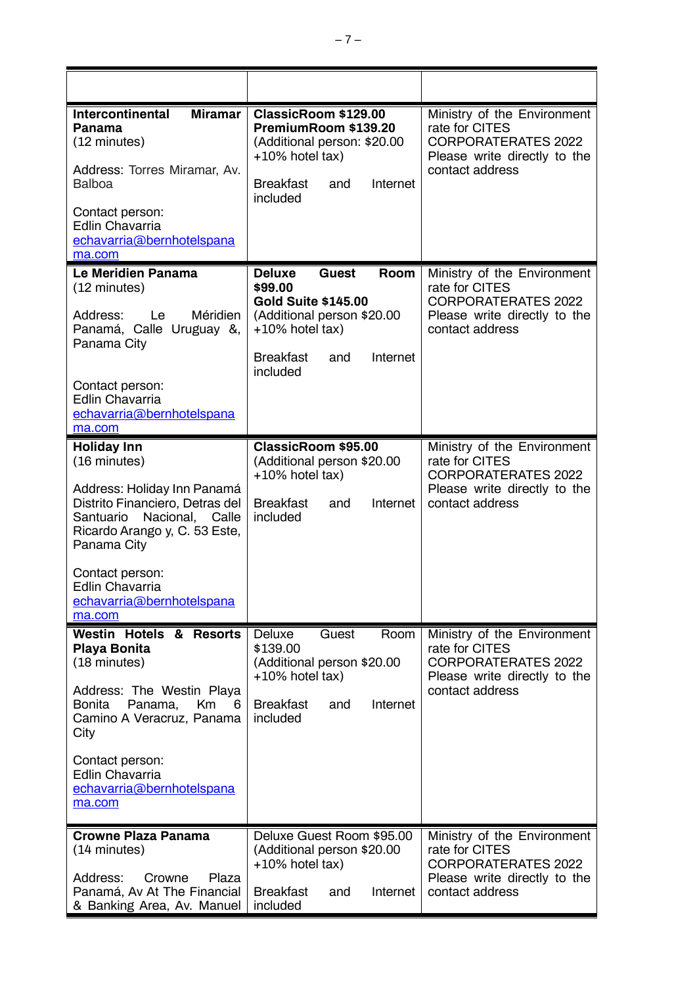| <b>Intercontinental</b><br><b>Miramar</b><br><b>Panama</b><br>(12 minutes)<br>Address: Torres Miramar, Av.<br><b>Balboa</b><br>Contact person:<br>Edlin Chavarria<br>echavarria@bernhotelspana                                                    | ClassicRoom \$129.00<br>PremiumRoom \$139.20<br>(Additional person: \$20.00<br>$+10\%$ hotel tax)<br>Internet<br><b>Breakfast</b><br>and<br>included                                  | Ministry of the Environment<br>rate for CITES<br><b>CORPORATERATES 2022</b><br>Please write directly to the<br>contact address |
|---------------------------------------------------------------------------------------------------------------------------------------------------------------------------------------------------------------------------------------------------|---------------------------------------------------------------------------------------------------------------------------------------------------------------------------------------|--------------------------------------------------------------------------------------------------------------------------------|
| ma.com                                                                                                                                                                                                                                            |                                                                                                                                                                                       |                                                                                                                                |
| Le Meridien Panama<br>(12 minutes)<br>Méridien<br>Address: Le<br>Panamá, Calle Uruguay &,<br>Panama City<br>Contact person:<br><b>Edlin Chavarria</b>                                                                                             | <b>Deluxe</b><br>Room<br><b>Guest</b><br>\$99.00<br><b>Gold Suite \$145.00</b><br>(Additional person \$20.00<br>$+10\%$ hotel tax)<br><b>Breakfast</b><br>Internet<br>and<br>included | Ministry of the Environment<br>rate for CITES<br><b>CORPORATERATES 2022</b><br>Please write directly to the<br>contact address |
| echavarria@bernhotelspana<br>ma.com                                                                                                                                                                                                               |                                                                                                                                                                                       |                                                                                                                                |
| <b>Holiday Inn</b><br>(16 minutes)<br>Address: Holiday Inn Panamá<br>Distrito Financiero, Detras del<br>Nacional, Calle<br>Santuario<br>Ricardo Arango y, C. 53 Este,<br>Panama City<br>Contact person:                                           | ClassicRoom \$95.00<br>(Additional person \$20.00<br>$+10\%$ hotel tax)<br><b>Breakfast</b><br>Internet<br>and<br>included                                                            | Ministry of the Environment<br>rate for CITES<br><b>CORPORATERATES 2022</b><br>Please write directly to the<br>contact address |
| <b>Edlin Chavarria</b><br><u>echavarria@bernhotelspana</u><br>ma.com                                                                                                                                                                              |                                                                                                                                                                                       |                                                                                                                                |
| <b>Westin Hotels &amp; Resorts</b><br>Playa Bonita<br>(18 minutes)<br>Address: The Westin Playa<br>Bonita<br>Panama,<br>Km<br>6<br>Camino A Veracruz, Panama<br>City<br>Contact person:<br>Edlin Chavarria<br>echavarria@bernhotelspana<br>ma.com | Deluxe<br>Guest<br>Room<br>\$139.00<br>(Additional person \$20.00<br>$+10\%$ hotel tax)<br><b>Breakfast</b><br>Internet<br>and<br>included                                            | Ministry of the Environment<br>rate for CITES<br><b>CORPORATERATES 2022</b><br>Please write directly to the<br>contact address |
| <b>Crowne Plaza Panama</b>                                                                                                                                                                                                                        | Deluxe Guest Room \$95.00                                                                                                                                                             | Ministry of the Environment                                                                                                    |
| (14 minutes)<br>Address:<br>Crowne<br>Plaza<br>Panamá, Av At The Financial<br>& Banking Area, Av. Manuel                                                                                                                                          | (Additional person \$20.00<br>$+10\%$ hotel tax)<br><b>Breakfast</b><br>and<br>Internet<br>included                                                                                   | rate for CITES<br><b>CORPORATERATES 2022</b><br>Please write directly to the<br>contact address                                |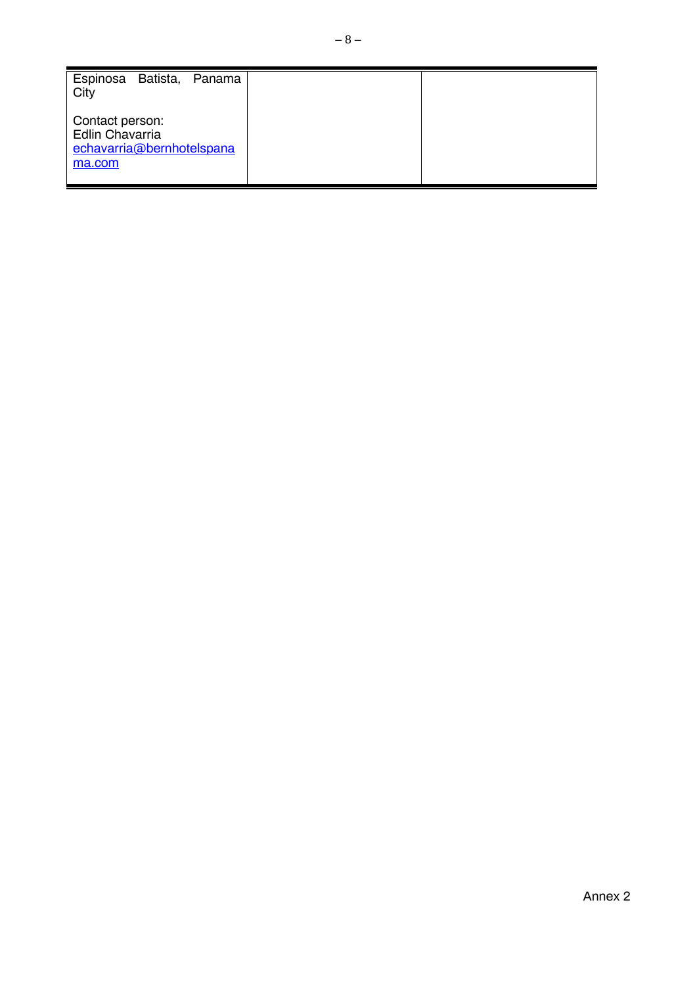| Espinosa Batista,<br>Panama<br>City                                       |  |
|---------------------------------------------------------------------------|--|
| Contact person:<br>Edlin Chavarria<br>echavarria@bernhotelspana<br>ma.com |  |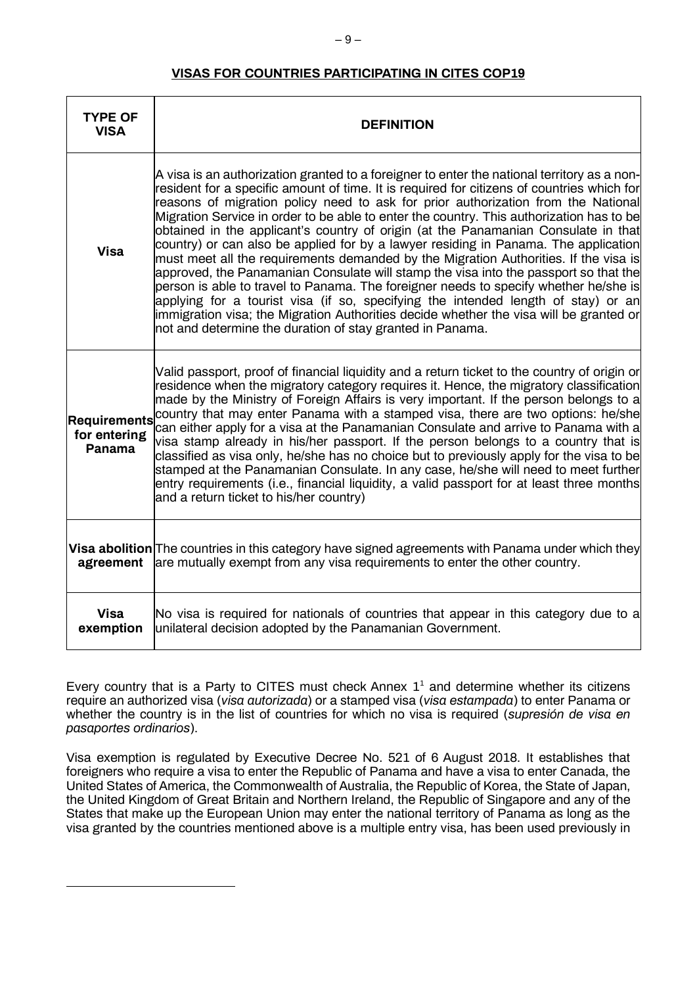# **VISAS FOR COUNTRIES PARTICIPATING IN CITES COP19**

| <b>TYPE OF</b><br><b>VISA</b>                 | <b>DEFINITION</b>                                                                                                                                                                                                                                                                                                                                                                                                                                                                                                                                                                                                                                                                                                                                                                                                                                                                                                                                                                                                                                                           |
|-----------------------------------------------|-----------------------------------------------------------------------------------------------------------------------------------------------------------------------------------------------------------------------------------------------------------------------------------------------------------------------------------------------------------------------------------------------------------------------------------------------------------------------------------------------------------------------------------------------------------------------------------------------------------------------------------------------------------------------------------------------------------------------------------------------------------------------------------------------------------------------------------------------------------------------------------------------------------------------------------------------------------------------------------------------------------------------------------------------------------------------------|
| <b>Visa</b>                                   | A visa is an authorization granted to a foreigner to enter the national territory as a non-<br>resident for a specific amount of time. It is required for citizens of countries which for<br>reasons of migration policy need to ask for prior authorization from the National<br>Migration Service in order to be able to enter the country. This authorization has to be<br>obtained in the applicant's country of origin (at the Panamanian Consulate in that<br>country) or can also be applied for by a lawyer residing in Panama. The application<br>must meet all the requirements demanded by the Migration Authorities. If the visa is<br>approved, the Panamanian Consulate will stamp the visa into the passport so that the<br>person is able to travel to Panama. The foreigner needs to specify whether he/she is<br>applying for a tourist visa (if so, specifying the intended length of stay) or an<br>immigration visa; the Migration Authorities decide whether the visa will be granted or<br>not and determine the duration of stay granted in Panama. |
| <b>Requirements</b><br>for entering<br>Panama | Valid passport, proof of financial liquidity and a return ticket to the country of origin or<br>residence when the migratory category requires it. Hence, the migratory classification<br>made by the Ministry of Foreign Affairs is very important. If the person belongs to a<br>country that may enter Panama with a stamped visa, there are two options: he/she<br>can either apply for a visa at the Panamanian Consulate and arrive to Panama with a<br>visa stamp already in his/her passport. If the person belongs to a country that is<br>classified as visa only, he/she has no choice but to previously apply for the visa to be<br>stamped at the Panamanian Consulate. In any case, he/she will need to meet further<br>entry requirements (i.e., financial liquidity, a valid passport for at least three months<br>and a return ticket to his/her country)                                                                                                                                                                                                  |
| agreement                                     | <b>Visa abolition</b> The countries in this category have signed agreements with Panama under which they<br>are mutually exempt from any visa requirements to enter the other country.                                                                                                                                                                                                                                                                                                                                                                                                                                                                                                                                                                                                                                                                                                                                                                                                                                                                                      |
| <b>Visa</b><br>exemption                      | No visa is required for nationals of countries that appear in this category due to a<br>unilateral decision adopted by the Panamanian Government.                                                                                                                                                                                                                                                                                                                                                                                                                                                                                                                                                                                                                                                                                                                                                                                                                                                                                                                           |

Every country that is a Party to CITES must check Annex  $1<sup>1</sup>$  and determine whether its citizens require an authorized visa (*visa autorizada*) or a stamped visa (*visa estampada*) to enter Panama or whether the country is in the list of countries for which no visa is required (*supresión de visa en pasaportes ordinarios*).

Visa exemption is regulated by Executive Decree No. 521 of 6 August 2018. It establishes that foreigners who require a visa to enter the Republic of Panama and have a visa to enter Canada, the United States of America, the Commonwealth of Australia, the Republic of Korea, the State of Japan, the United Kingdom of Great Britain and Northern Ireland, the Republic of Singapore and any of the States that make up the European Union may enter the national territory of Panama as long as the visa granted by the countries mentioned above is a multiple entry visa, has been used previously in